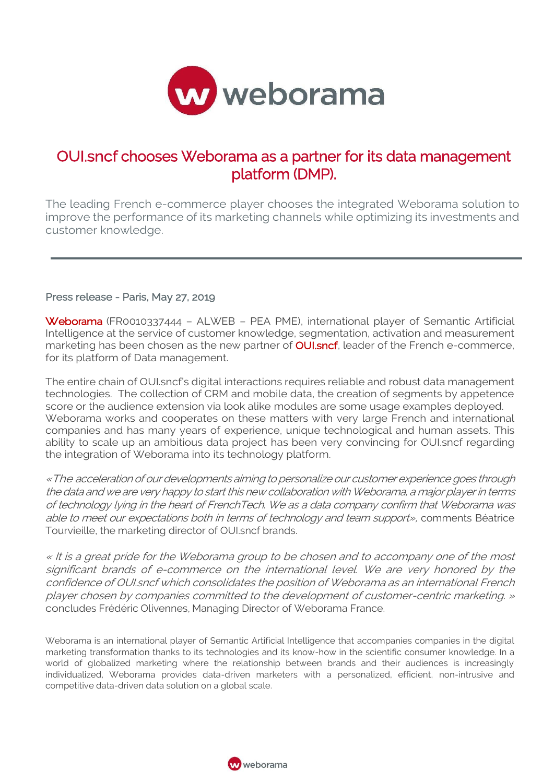

## OUI.sncf chooses Weborama as a partner for its data management platform (DMP).

The leading French e-commerce player chooses the integrated Weborama solution to improve the performance of its marketing channels while optimizing its investments and customer knowledge.

## Press release - Paris, May 27, 2019

Weborama (FR0010337444 - ALWEB - PEA PME), international player of Semantic Artificial Intelligence at the service of customer knowledge, segmentation, activation and measurement marketing has been chosen as the new partner of **OUI.sncf**, leader of the French e-commerce, for its platform of Data management.

The entire chain of OUI.sncf's digital interactions requires reliable and robust data management technologies. The collection of CRM and mobile data, the creation of segments by appetence score or the audience extension via look alike modules are some usage examples deployed. Weborama works and cooperates on these matters with very large French and international companies and has many years of experience, unique technological and human assets. This ability to scale up an ambitious data project has been very convincing for OUI.sncf regarding the integration of Weborama into its technology platform.

«The acceleration of our developments aiming to personalize our customer experience goes through the data and we are very happy to start this new collaboration with Weborama, a major player in terms of technology lying in the heart of FrenchTech. We as a data company confirm that Weborama was able to meet our expectations both in terms of technology and team support», comments Béatrice Tourvieille, the marketing director of OUI.sncf brands.

« It is a great pride for the Weborama group to be chosen and to accompany one of the most significant brands of e-commerce on the international level. We are very honored by the confidence of OUI.sncf which consolidates the position of Weborama as an international French player chosen by companies committed to the development of customer-centric marketing. » concludes Frédéric Olivennes, Managing Director of Weborama France.

Weborama is an international player of Semantic Artificial Intelligence that accompanies companies in the digital marketing transformation thanks to its technologies and its know-how in the scientific consumer knowledge. In a world of globalized marketing where the relationship between brands and their audiences is increasingly individualized, Weborama provides data-driven marketers with a personalized, efficient, non-intrusive and competitive data-driven data solution on a global scale.